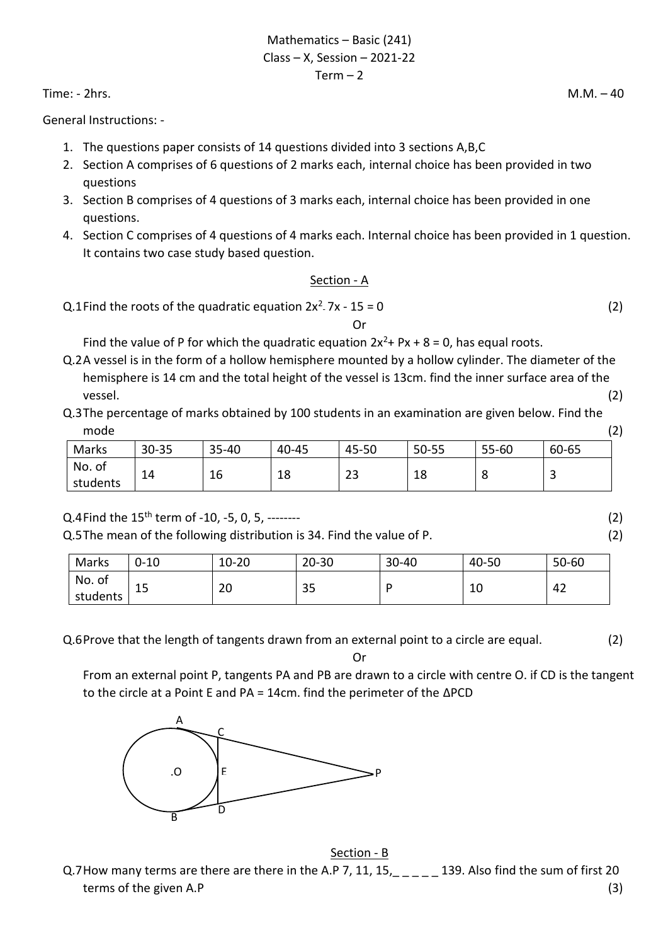Mathematics – Basic (241) Class – X, Session – 2021-22  $Term - 2$ 

Time: - 2hrs. M.M. – 40

General Instructions: -

- 1. The questions paper consists of 14 questions divided into 3 sections A,B,C
- 2. Section A comprises of 6 questions of 2 marks each, internal choice has been provided in two questions
- 3. Section B comprises of 4 questions of 3 marks each, internal choice has been provided in one questions.
- 4. Section C comprises of 4 questions of 4 marks each. Internal choice has been provided in 1 question. It contains two case study based question.

## Section - A

Q.1Find the roots of the quadratic equation  $2x^2 - 7x - 15 = 0$  (2)

## Or

Find the value of P for which the quadratic equation  $2x^2$ + Px + 8 = 0, has equal roots.

- Q.2A vessel is in the form of a hollow hemisphere mounted by a hollow cylinder. The diameter of the hemisphere is 14 cm and the total height of the vessel is 13cm. find the inner surface area of the vessel. (2)
- Q.3The percentage of marks obtained by 100 students in an examination are given below. Find the mode (2)

| Marks                 | 30-35 | 35-40        | 40-45    | 45-50                 | 50-55     | 55-60 | 60-65 |
|-----------------------|-------|--------------|----------|-----------------------|-----------|-------|-------|
| No.<br>01<br>students | 14    | $\sim$<br>⊥∪ | 1 O<br>ᅭ | $\mathbf{\sim}$<br>دے | . о<br>ΤQ | u     | ٮ     |

 $Q.4$  Find the 15<sup>th</sup> term of -10, -5, 0, 5, --------

Q.5The mean of the following distribution is 34. Find the value of P. (2)

| Marks              | $0 - 10$ | $10 - 20$ | $20 - 30$ | $30 - 40$ | 40-50 | $50 - 60$ |
|--------------------|----------|-----------|-----------|-----------|-------|-----------|
| No. of<br>students | 15       | ിറ<br>zu  | 35        | D         | 10    | 42        |

Q.6Prove that the length of tangents drawn from an external point to a circle are equal. (2)

Or

From an external point P, tangents PA and PB are drawn to a circle with centre O. if CD is the tangent to the circle at a Point E and PA = 14cm. find the perimeter of the ∆PCD



Section - B Q.7How many terms are there are there in the A.P 7, 11, 15,  $\mu_{\text{max}} = 139$ . Also find the sum of first 20 terms of the given A.P (3)